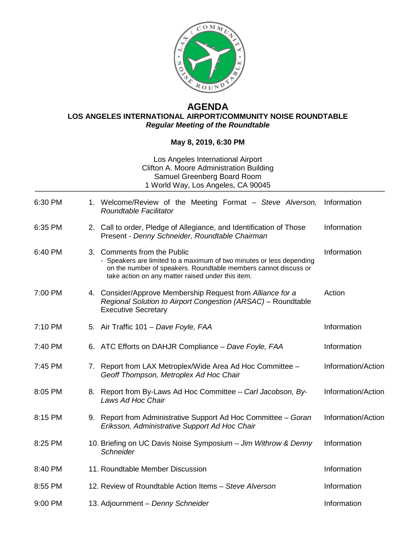

## **AGENDA LOS ANGELES INTERNATIONAL AIRPORT/COMMUNITY NOISE ROUNDTABLE** *Regular Meeting of the Roundtable*

## **May 8, 2019, 6:30 PM**

## Los Angeles International Airport Clifton A. Moore Administration Building Samuel Greenberg Board Room 1 World Way, Los Angeles, CA 90045

| 6:30 PM |                | 1. Welcome/Review of the Meeting Format - Steve Alverson,<br>Roundtable Facilitator                                                                                                                                             | Information        |
|---------|----------------|---------------------------------------------------------------------------------------------------------------------------------------------------------------------------------------------------------------------------------|--------------------|
| 6:35 PM |                | 2. Call to order, Pledge of Allegiance, and Identification of Those<br>Present - Denny Schneider, Roundtable Chairman                                                                                                           | Information        |
| 6:40 PM | 3 <sub>1</sub> | <b>Comments from the Public</b><br>- Speakers are limited to a maximum of two minutes or less depending<br>on the number of speakers. Roundtable members cannot discuss or<br>take action on any matter raised under this item. | Information        |
| 7:00 PM |                | 4. Consider/Approve Membership Request from Alliance for a<br>Regional Solution to Airport Congestion (ARSAC) - Roundtable<br><b>Executive Secretary</b>                                                                        | Action             |
| 7:10 PM |                | 5. Air Traffic 101 - Dave Foyle, FAA                                                                                                                                                                                            | Information        |
| 7:40 PM |                | 6. ATC Efforts on DAHJR Compliance - Dave Foyle, FAA                                                                                                                                                                            | Information        |
| 7:45 PM |                | 7. Report from LAX Metroplex/Wide Area Ad Hoc Committee -<br>Geoff Thompson, Metroplex Ad Hoc Chair                                                                                                                             | Information/Action |
| 8:05 PM | 8.             | Report from By-Laws Ad Hoc Committee - Carl Jacobson, By-<br>Laws Ad Hoc Chair                                                                                                                                                  | Information/Action |
| 8:15 PM | 9.             | Report from Administrative Support Ad Hoc Committee - Goran<br>Eriksson, Administrative Support Ad Hoc Chair                                                                                                                    | Information/Action |
| 8:25 PM |                | 10. Briefing on UC Davis Noise Symposium - Jim Withrow & Denny<br>Schneider                                                                                                                                                     | Information        |
| 8:40 PM |                | 11. Roundtable Member Discussion                                                                                                                                                                                                | Information        |
| 8:55 PM |                | 12. Review of Roundtable Action Items - Steve Alverson                                                                                                                                                                          | Information        |
| 9:00 PM |                | 13. Adjournment - Denny Schneider                                                                                                                                                                                               | Information        |